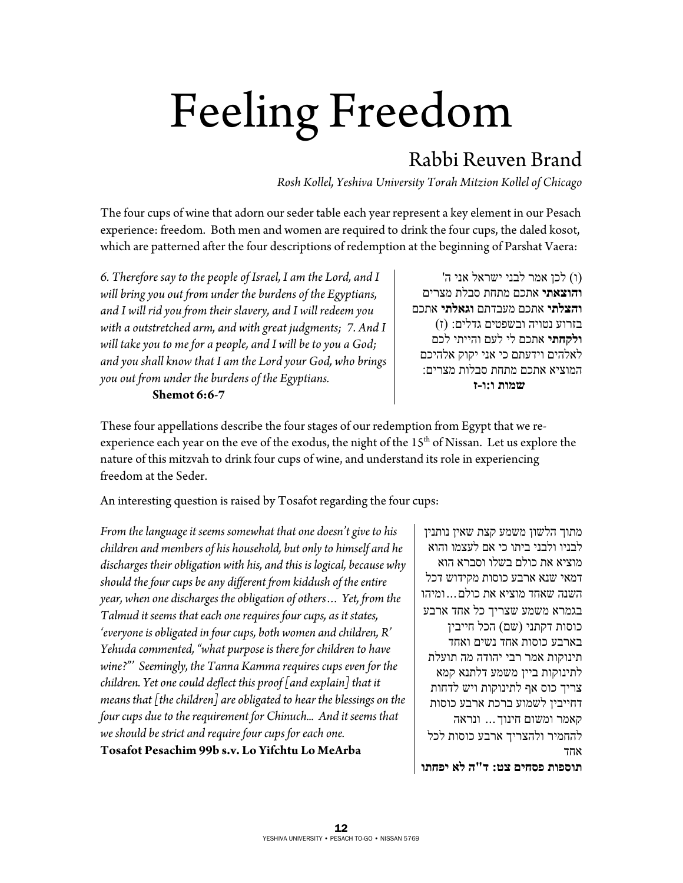## Feeling Freedom

## Rabbi Reuven Brand

*Rosh Kollel, Yeshiva University Torah Mitzion Kollel of Chicago* 

The four cups of wine that adorn our seder table each year represent a key element in our Pesach experience: freedom. Both men and women are required to drink the four cups, the daled kosot, which are patterned after the four descriptions of redemption at the beginning of Parshat Vaera:

*6. Therefore say to the people of Israel, I am the Lord, and I will bring you out from under the burdens of the Egyptians, and I will rid you from their slavery, and I will redeem you with a outstretched arm, and with great judgments; 7. And I will take you to me for a people, and I will be to you a God; and you shall know that I am the Lord your God, who brings you out from under the burdens of the Egyptians.* 

## **Shemot 6:6-7**

(ו) לכן אמר לבני ישראל אני ה' **והוצאתי** אתכם מתחת סבלת מצרים **והצלתי** אתכם מעבדתם **וגאלתי** אתכם בזרוע נטויה ובשפטים גדלים: (ז) **ולקחתי** אתכם לי לעם והייתי לכם לאלהים וידעתם כי אני יקוק אלהיכם המוציא אתכם מתחת סבלות מצרים:  **שמות ו:ו-ז**

These four appellations describe the four stages of our redemption from Egypt that we reexperience each year on the eve of the exodus, the night of the 15<sup>th</sup> of Nissan. Let us explore the nature of this mitzvah to drink four cups of wine, and understand its role in experiencing freedom at the Seder.

An interesting question is raised by Tosafot regarding the four cups:

*From the language it seems somewhat that one doesn't give to his children and members of his household, but only to himself and he discharges their obligation with his, and this is logical, because why should the four cups be any different from kiddush of the entire year, when one discharges the obligation of others… Yet, from the Talmud it seems that each one requires four cups, as it states, 'everyone is obligated in four cups, both women and children, R' Yehuda commented, "what purpose is there for children to have wine?"' Seemingly, the Tanna Kamma requires cups even for the children. Yet one could deflect this proof [and explain] that it means that [the children] are obligated to hear the blessings on the four cups due to the requirement for Chinuch... And it seems that we should be strict and require four cups for each one.*  **Tosafot Pesachim 99b s.v. Lo Yifchtu Lo MeArba**

מתוך הלשון משמע קצת שאין נותנין לבניו ולבני ביתו כי אם לעצמו והוא מוציא את כולם בשלו וסברא הוא דמאי שנא ארבע כוסות מקידוש דכל השנה שאחד מוציא את כולם...ומיהו בגמרא משמע שצריך כל אחד ארבע כוסות דקתני (שם) הכל חייבין בארבע כוסות אחד נשים ואחד תינוקות אמר רבי יהודה מה תועלת לתינוקות ביין משמע דלתנא קמא צריך כוס אף לתינוקות ויש לדחות דחייבין לשמוע ברכת ארבע כוסות קאמר ומשום חינוך... ונראה להחמיר ולהצריך ארבע כוסות לכל אחד **תוספות פסחים צט: ד"ה לא יפחתו**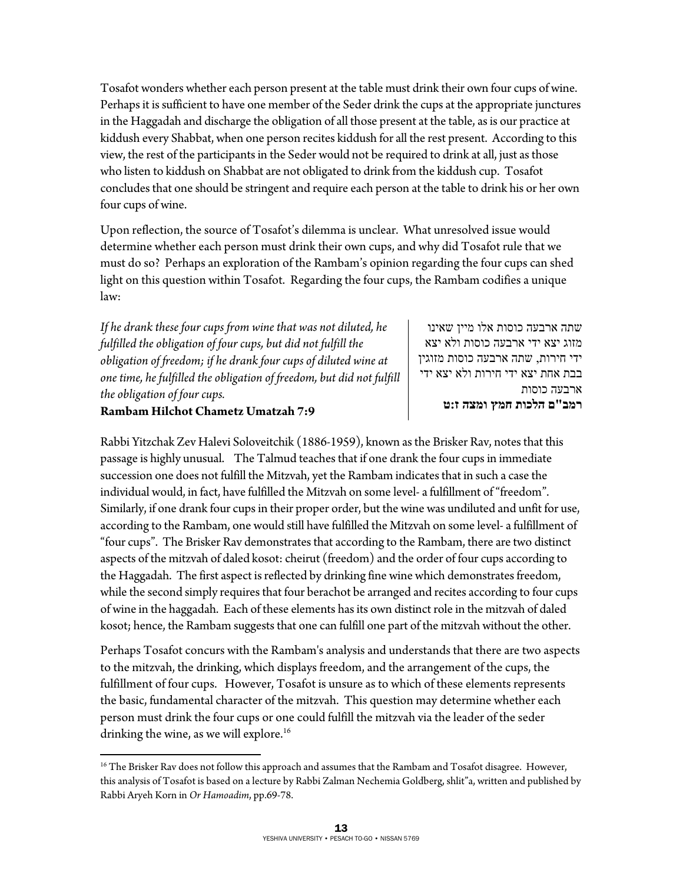Tosafot wonders whether each person present at the table must drink their own four cups of wine. Perhaps it is sufficient to have one member of the Seder drink the cups at the appropriate junctures in the Haggadah and discharge the obligation of all those present at the table, as is our practice at kiddush every Shabbat, when one person recites kiddush for all the rest present. According to this view, the rest of the participants in the Seder would not be required to drink at all, just as those who listen to kiddush on Shabbat are not obligated to drink from the kiddush cup. Tosafot concludes that one should be stringent and require each person at the table to drink his or her own four cups of wine.

Upon reflection, the source of Tosafot's dilemma is unclear. What unresolved issue would determine whether each person must drink their own cups, and why did Tosafot rule that we must do so? Perhaps an exploration of the Rambam's opinion regarding the four cups can shed light on this question within Tosafot. Regarding the four cups, the Rambam codifies a unique law:

*If he drank these four cups from wine that was not diluted, he fulfilled the obligation of four cups, but did not fulfill the obligation of freedom; if he drank four cups of diluted wine at one time, he fulfilled the obligation of freedom, but did not fulfill the obligation of four cups.* 

שתה ארבעה כוסות אלו מיין שאינו מזוג יצא ידי ארבעה כוסות ולא יצא ידי חירות, שתה ארבעה כוסות מזוגין בבת אחת יצא ידי חירות ולא יצא ידי ארבעה כוסות **רמב"ם הלכות חמץ ומצה ז:ט** 

## **Rambam Hilchot Chametz Umatzah 7:9**

 $\overline{a}$ 

Rabbi Yitzchak Zev Halevi Soloveitchik (1886-1959), known as the Brisker Rav, notes that this passage is highly unusual. The Talmud teaches that if one drank the four cups in immediate succession one does not fulfill the Mitzvah, yet the Rambam indicates that in such a case the individual would, in fact, have fulfilled the Mitzvah on some level- a fulfillment of "freedom". Similarly, if one drank four cups in their proper order, but the wine was undiluted and unfit for use, according to the Rambam, one would still have fulfilled the Mitzvah on some level- a fulfillment of "four cups". The Brisker Rav demonstrates that according to the Rambam, there are two distinct aspects of the mitzvah of daled kosot: cheirut (freedom) and the order of four cups according to the Haggadah. The first aspect is reflected by drinking fine wine which demonstrates freedom, while the second simply requires that four berachot be arranged and recites according to four cups of wine in the haggadah. Each of these elements has its own distinct role in the mitzvah of daled kosot; hence, the Rambam suggests that one can fulfill one part of the mitzvah without the other.

Perhaps Tosafot concurs with the Rambam's analysis and understands that there are two aspects to the mitzvah, the drinking, which displays freedom, and the arrangement of the cups, the fulfillment of four cups. However, Tosafot is unsure as to which of these elements represents the basic, fundamental character of the mitzvah. This question may determine whether each person must drink the four cups or one could fulfill the mitzvah via the leader of the seder drinking the wine, as we will explore.<sup>16</sup>

<sup>&</sup>lt;sup>16</sup> The Brisker Rav does not follow this approach and assumes that the Rambam and Tosafot disagree. However, this analysis of Tosafot is based on a lecture by Rabbi Zalman Nechemia Goldberg, shlit"a, written and published by Rabbi Aryeh Korn in *Or Hamoadim*, pp.69-78.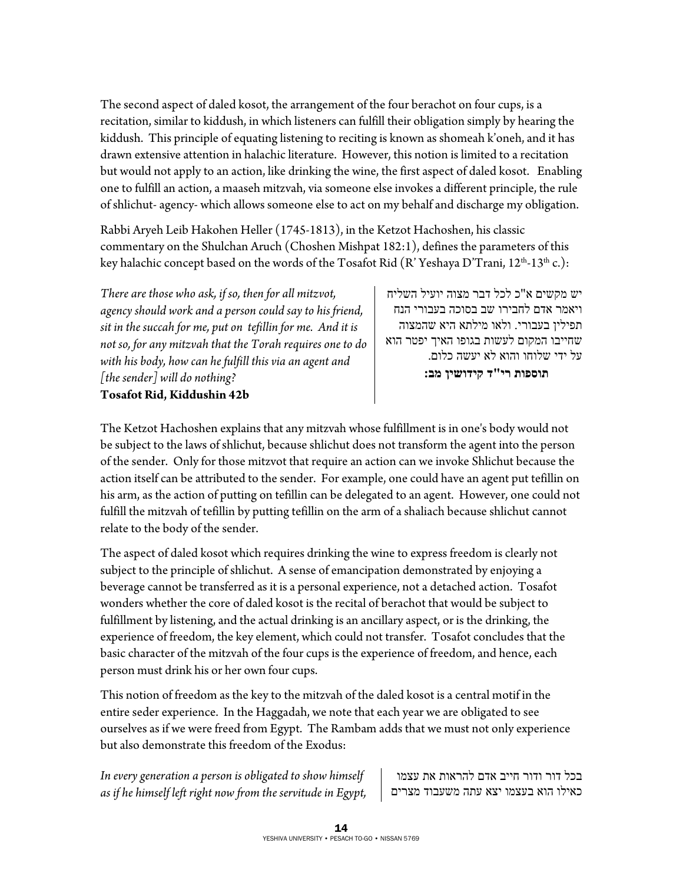The second aspect of daled kosot, the arrangement of the four berachot on four cups, is a recitation, similar to kiddush, in which listeners can fulfill their obligation simply by hearing the kiddush. This principle of equating listening to reciting is known as shomeah k'oneh, and it has drawn extensive attention in halachic literature. However, this notion is limited to a recitation but would not apply to an action, like drinking the wine, the first aspect of daled kosot. Enabling one to fulfill an action, a maaseh mitzvah, via someone else invokes a different principle, the rule of shlichut- agency- which allows someone else to act on my behalf and discharge my obligation.

Rabbi Aryeh Leib Hakohen Heller (1745-1813), in the Ketzot Hachoshen, his classic commentary on the Shulchan Aruch (Choshen Mishpat 182:1), defines the parameters of this key halachic concept based on the words of the Tosafot Rid (R'Yeshaya D'Trani,  $12^{th}$ - $13^{th}$  c.):

*There are those who ask, if so, then for all mitzvot, agency should work and a person could say to his friend, sit in the succah for me, put on tefillin for me. And it is not so, for any mitzvah that the Torah requires one to do with his body, how can he fulfill this via an agent and [the sender] will do nothing?*  **Tosafot Rid, Kiddushin 42b** 

יש מקשים א"כ לכל דבר מצוה יועיל השליח ויאמר אדם לחבירו שב בסוכה בעבורי הנח תפילין בעבורי. ולאו מילתא היא שהמצוה שחייבו המקום לעשות בגופו האיך יפטר הוא על ידי שלוחו והוא לא יעשה כלום.  **תוספות רי"ד קידושין מב:** 

The Ketzot Hachoshen explains that any mitzvah whose fulfillment is in one's body would not be subject to the laws of shlichut, because shlichut does not transform the agent into the person of the sender. Only for those mitzvot that require an action can we invoke Shlichut because the action itself can be attributed to the sender. For example, one could have an agent put tefillin on his arm, as the action of putting on tefillin can be delegated to an agent. However, one could not fulfill the mitzvah of tefillin by putting tefillin on the arm of a shaliach because shlichut cannot relate to the body of the sender.

The aspect of daled kosot which requires drinking the wine to express freedom is clearly not subject to the principle of shlichut. A sense of emancipation demonstrated by enjoying a beverage cannot be transferred as it is a personal experience, not a detached action. Tosafot wonders whether the core of daled kosot is the recital of berachot that would be subject to fulfillment by listening, and the actual drinking is an ancillary aspect, or is the drinking, the experience of freedom, the key element, which could not transfer. Tosafot concludes that the basic character of the mitzvah of the four cups is the experience of freedom, and hence, each person must drink his or her own four cups.

This notion of freedom as the key to the mitzvah of the daled kosot is a central motif in the entire seder experience. In the Haggadah, we note that each year we are obligated to see ourselves as if we were freed from Egypt. The Rambam adds that we must not only experience but also demonstrate this freedom of the Exodus:

*In every generation a person is obligated to show himself as if he himself left right now from the servitude in Egypt,* 

בכל דור ודור חייב אדם להראות את עצמו כאילו הוא בעצמו יצא עתה משעבוד מצרים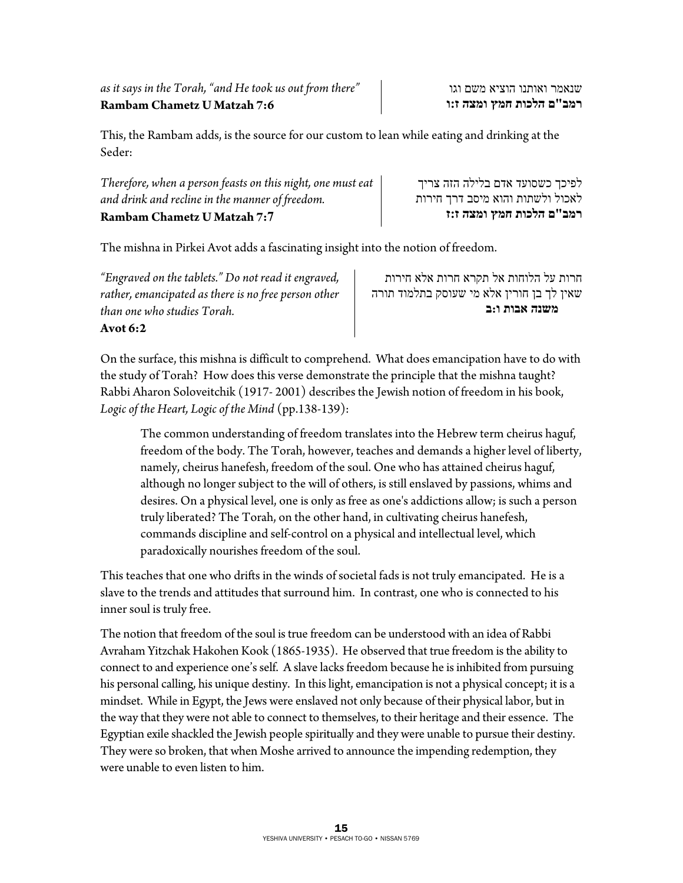This, the Rambam adds, is the source for our custom to lean while eating and drinking at the Seder:

| <b>Rambam Chametz U Matzah 7:7</b>                          | רמב"ם הלכות חמץ ומצה ז:ז         |
|-------------------------------------------------------------|----------------------------------|
| and drink and recline in the manner of freedom.             | לאכול ולשתות והוא מיסב דרך חירות |
| Therefore, when a person feasts on this night, one must eat | לפיכך כשסועד אדם בלילה הזה צריך  |

The mishna in Pirkei Avot adds a fascinating insight into the notion of freedom.

*"Engraved on the tablets." Do not read it engraved, rather, emancipated as there is no free person other than one who studies Torah.*  **Avot 6:2** 

חרות על הלוחות אל תקרא חרות אלא חירות שאין לך בן חורין אלא מי שעוסק בתלמוד תורה  **משנה אבות ו:ב**

On the surface, this mishna is difficult to comprehend. What does emancipation have to do with the study of Torah? How does this verse demonstrate the principle that the mishna taught? Rabbi Aharon Soloveitchik (1917- 2001) describes the Jewish notion of freedom in his book, *Logic of the Heart, Logic of the Mind* (pp.138-139):

The common understanding of freedom translates into the Hebrew term cheirus haguf, freedom of the body. The Torah, however, teaches and demands a higher level of liberty, namely, cheirus hanefesh, freedom of the soul. One who has attained cheirus haguf, although no longer subject to the will of others, is still enslaved by passions, whims and desires. On a physical level, one is only as free as one's addictions allow; is such a person truly liberated? The Torah, on the other hand, in cultivating cheirus hanefesh, commands discipline and self-control on a physical and intellectual level, which paradoxically nourishes freedom of the soul.

This teaches that one who drifts in the winds of societal fads is not truly emancipated. He is a slave to the trends and attitudes that surround him. In contrast, one who is connected to his inner soul is truly free.

The notion that freedom of the soul is true freedom can be understood with an idea of Rabbi Avraham Yitzchak Hakohen Kook (1865-1935). He observed that true freedom is the ability to connect to and experience one's self. A slave lacks freedom because he is inhibited from pursuing his personal calling, his unique destiny. In this light, emancipation is not a physical concept; it is a mindset. While in Egypt, the Jews were enslaved not only because of their physical labor, but in the way that they were not able to connect to themselves, to their heritage and their essence. The Egyptian exile shackled the Jewish people spiritually and they were unable to pursue their destiny. They were so broken, that when Moshe arrived to announce the impending redemption, they were unable to even listen to him.